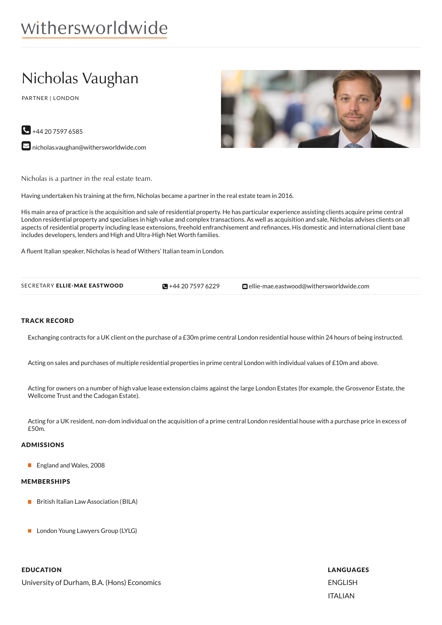# withersworldwide

# Nicholas Vaughan

PARTNER | LONDON





 $\blacktriangleright$  [nicholas.vaughan@withersworldwide.com](mailto:nicholas.vaughan@withersworldwide.com?subject=Website Enquiry - Profile Page)

Nicholas is a partner in the real estate team.

Having undertaken his training at the firm, Nicholas became a partner in the real estate team in 2016.

His main area of practice is the acquisition and sale of residential property. He has particular experience assisting clients acquire prime central London residential property and specialises in high value and complex transactions. As well as acquisition and sale, Nicholas advises clients on all aspects of residential property including lease extensions, freehold enfranchisement and refinances. His domestic and international client base includes developers, lenders and High and Ultra-High Net Worth families.

A fluent Italian speaker, Nicholas is head of Withers' Italian team in London.

| SECRETARY ELLIE-MAE EASTWOOD | $\Box + 442075976229$ | <b>⊡</b> ellie-mae.eastwood@withersworldwide.com |
|------------------------------|-----------------------|--------------------------------------------------|
|                              |                       |                                                  |

#### TRACK RECORD

Exchanging contracts for a UK client on the purchase of a £30m prime central London residential house within 24 hours of being instructed.

Acting on sales and purchases of multiple residential properties in prime central London with individual values of £10m and above.

Acting for owners on a number of high value lease extension claims against the large London Estates (for example, the Grosvenor Estate, the Wellcome Trust and the Cadogan Estate).

Acting for a UK resident, non-dom individual on the acquisition of a prime central London residential house with a purchase price in excess of £50m.

# ADMISSIONS

**England and Wales, 2008** 

#### MEMBERSHIPS

- **British Italian Law Association (BILA)**
- **London Young Lawyers Group (LYLG)**

### EDUCATION

University of Durham, B.A. (Hons) Economics

LANGUAGES ENGLISH ITALIAN